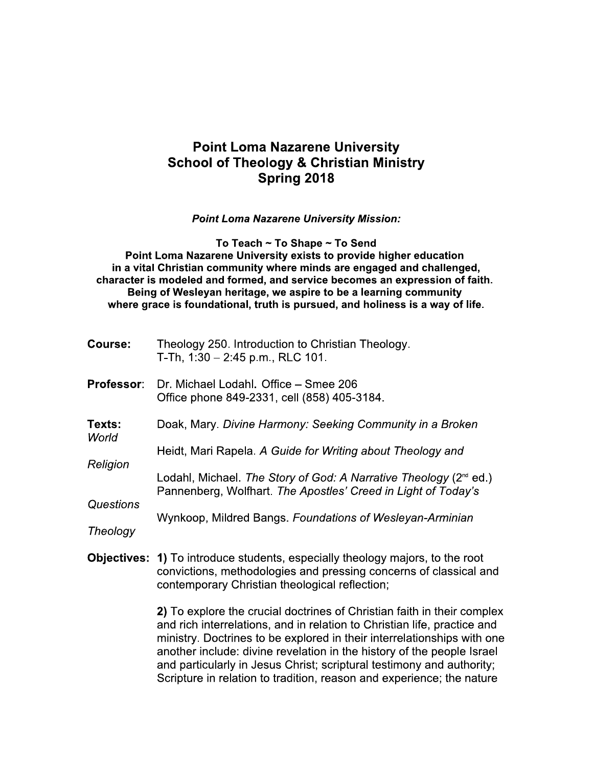# **Point Loma Nazarene University School of Theology & Christian Ministry** Spring 2018

**Point Loma Nazarene University Mission:** 

To Teach ~ To Shape ~ To Send

Point Loma Nazarene University exists to provide higher education in a vital Christian community where minds are engaged and challenged. character is modeled and formed, and service becomes an expression of faith. Being of Wesleyan heritage, we aspire to be a learning community where grace is foundational, truth is pursued, and holiness is a way of life.

| <b>Course:</b>        | Theology 250. Introduction to Christian Theology.<br>T-Th, $1:30 - 2:45$ p.m., RLC 101.                                                                                                                     |
|-----------------------|-------------------------------------------------------------------------------------------------------------------------------------------------------------------------------------------------------------|
| Professor:            | Dr. Michael Lodahl. Office - Smee 206<br>Office phone 849-2331, cell (858) 405-3184.                                                                                                                        |
| Texts:<br>World       | Doak, Mary. Divine Harmony: Seeking Community in a Broken                                                                                                                                                   |
| Religion              | Heidt, Mari Rapela. A Guide for Writing about Theology and                                                                                                                                                  |
|                       | Lodahl, Michael. The Story of God: A Narrative Theology (2 <sup>nd</sup> ed.)<br>Pannenberg, Wolfhart. The Apostles' Creed in Light of Today's                                                              |
| Questions<br>Theology | Wynkoop, Mildred Bangs. Foundations of Wesleyan-Arminian                                                                                                                                                    |
|                       |                                                                                                                                                                                                             |
|                       | <b>Objectives: 1)</b> To introduce students, especially theology majors, to the root<br>convictions, methodologies and pressing concerns of classical and<br>contemporary Christian theological reflection; |
|                       | 2) To explore the crucial doctrines of Christian faith in their complex                                                                                                                                     |

explore the crucial doctrines of Christian faith in their complex and rich interrelations, and in relation to Christian life, practice and ministry. Doctrines to be explored in their interrelationships with one another include: divine revelation in the history of the people Israel and particularly in Jesus Christ; scriptural testimony and authority; Scripture in relation to tradition, reason and experience; the nature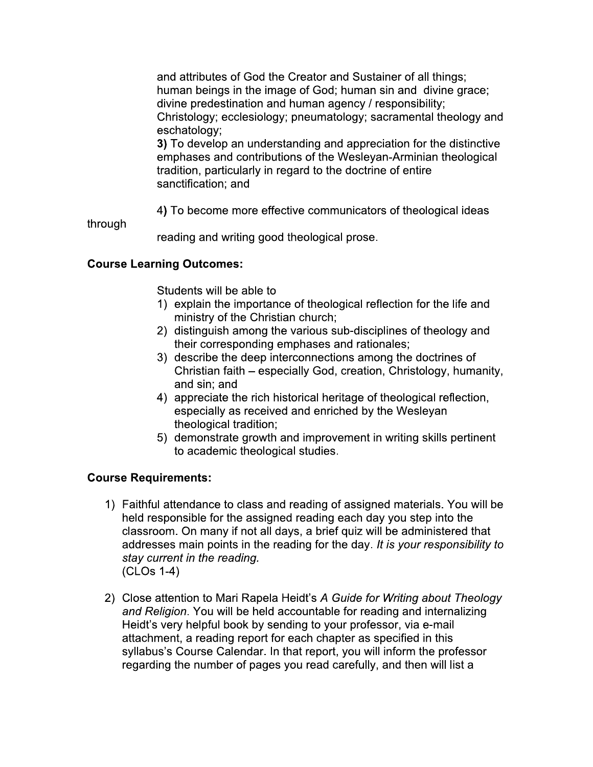and attributes of God the Creator and Sustainer of all things; human beings in the image of God; human sin and divine grace; divine predestination and human agency / responsibility; Christology; ecclesiology; pneumatology; sacramental theology and eschatology;

3) To develop an understanding and appreciation for the distinctive emphases and contributions of the Wesleyan-Arminian theological tradition, particularly in regard to the doctrine of entire sanctification; and

4) To become more effective communicators of theological ideas

through

reading and writing good theological prose.

## **Course Learning Outcomes:**

Students will be able to

- 1) explain the importance of theological reflection for the life and ministry of the Christian church;
- 2) distinguish among the various sub-disciplines of theology and their corresponding emphases and rationales;
- 3) describe the deep interconnections among the doctrines of Christian faith – especially God, creation, Christology, humanity, and sin; and
- 4) appreciate the rich historical heritage of theological reflection, especially as received and enriched by the Wesleyan theological tradition;
- 5) demonstrate growth and improvement in writing skills pertinent to academic theological studies.

### **Course Requirements:**

- 1) Faithful attendance to class and reading of assigned materials. You will be held responsible for the assigned reading each day you step into the classroom. On many if not all days, a brief quiz will be administered that addresses main points in the reading for the day. It is your responsibility to stay current in the reading.  $(CLOs 1-4)$
- 2) Close attention to Mari Rapela Heidt's A Guide for Writing about Theology and Religion. You will be held accountable for reading and internalizing Heidt's very helpful book by sending to your professor, via e-mail attachment, a reading report for each chapter as specified in this syllabus's Course Calendar. In that report, you will inform the professor regarding the number of pages you read carefully, and then will list a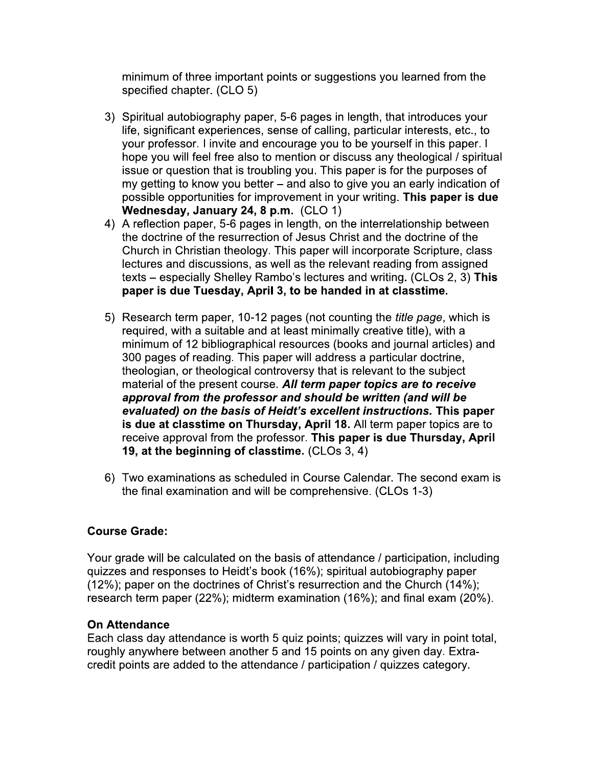minimum of three important points or suggestions you learned from the specified chapter. (CLO 5)

- 3) Spiritual autobiography paper, 5-6 pages in length, that introduces your life, significant experiences, sense of calling, particular interests, etc., to your professor. I invite and encourage you to be yourself in this paper. I hope you will feel free also to mention or discuss any theological / spiritual issue or question that is troubling you. This paper is for the purposes of my getting to know you better – and also to give you an early indication of possible opportunities for improvement in your writing. This paper is due Wednesday, January 24, 8 p.m. (CLO 1)
- 4) A reflection paper, 5-6 pages in length, on the interrelationship between the doctrine of the resurrection of Jesus Christ and the doctrine of the Church in Christian theology. This paper will incorporate Scripture, class lectures and discussions, as well as the relevant reading from assigned texts – especially Shelley Rambo's lectures and writing. (CLOs 2, 3) This paper is due Tuesday, April 3, to be handed in at classtime.
- 5) Research term paper, 10-12 pages (not counting the *title page*, which is required, with a suitable and at least minimally creative title), with a minimum of 12 bibliographical resources (books and journal articles) and 300 pages of reading. This paper will address a particular doctrine, theologian, or theological controversy that is relevant to the subject material of the present course. All term paper topics are to receive approval from the professor and should be written (and will be evaluated) on the basis of Heidt's excellent instructions. This paper is due at classtime on Thursday, April 18. All term paper topics are to receive approval from the professor. This paper is due Thursday, April 19, at the beginning of classtime. (CLOs 3, 4)
- 6) Two examinations as scheduled in Course Calendar. The second exam is the final examination and will be comprehensive. (CLOs 1-3)

# **Course Grade:**

Your grade will be calculated on the basis of attendance / participation, including quizzes and responses to Heidt's book (16%); spiritual autobiography paper (12%); paper on the doctrines of Christ's resurrection and the Church (14%); research term paper (22%); midterm examination (16%); and final exam (20%).

### **On Attendance**

Each class day attendance is worth 5 quiz points; quizzes will vary in point total, roughly anywhere between another 5 and 15 points on any given day. Extracredit points are added to the attendance / participation / quizzes category.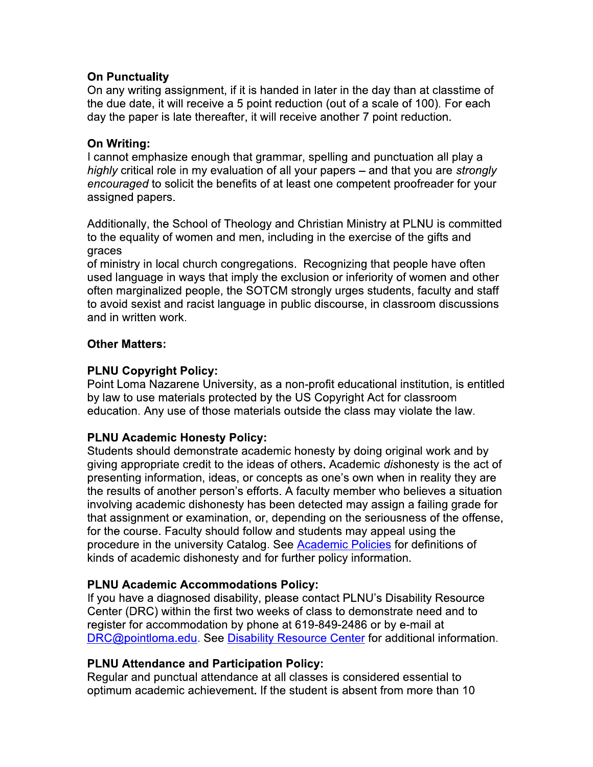## **On Punctuality**

On any writing assignment, if it is handed in later in the day than at classtime of the due date, it will receive a 5 point reduction (out of a scale of 100). For each day the paper is late thereafter, it will receive another 7 point reduction.

## On Writing:

I cannot emphasize enough that grammar, spelling and punctuation all play a highly critical role in my evaluation of all your papers – and that you are strongly encouraged to solicit the benefits of at least one competent proofreader for your assigned papers.

Additionally, the School of Theology and Christian Ministry at PLNU is committed to the equality of women and men, including in the exercise of the gifts and graces

of ministry in local church congregations. Recognizing that people have often used language in ways that imply the exclusion or inferiority of women and other often marginalized people, the SOTCM strongly urges students, faculty and staff to avoid sexist and racist language in public discourse, in classroom discussions and in written work.

## **Other Matters:**

## **PLNU Copyright Policy:**

Point Loma Nazarene University, as a non-profit educational institution, is entitled by law to use materials protected by the US Copyright Act for classroom education. Any use of those materials outside the class may violate the law.

# **PLNU Academic Honesty Policy:**

Students should demonstrate academic honesty by doing original work and by giving appropriate credit to the ideas of others. Academic dishonesty is the act of presenting information, ideas, or concepts as one's own when in reality they are the results of another person's efforts. A faculty member who believes a situation involving academic dishonesty has been detected may assign a failing grade for that assignment or examination, or, depending on the seriousness of the offense, for the course. Faculty should follow and students may appeal using the procedure in the university Catalog. See Academic Policies for definitions of kinds of academic dishonesty and for further policy information.

### **PLNU Academic Accommodations Policy:**

If you have a diagnosed disability, please contact PLNU's Disability Resource Center (DRC) within the first two weeks of class to demonstrate need and to register for accommodation by phone at 619-849-2486 or by e-mail at DRC@pointloma.edu. See Disability Resource Center for additional information.

# **PLNU Attendance and Participation Policy:**

Regular and punctual attendance at all classes is considered essential to optimum academic achievement. If the student is absent from more than 10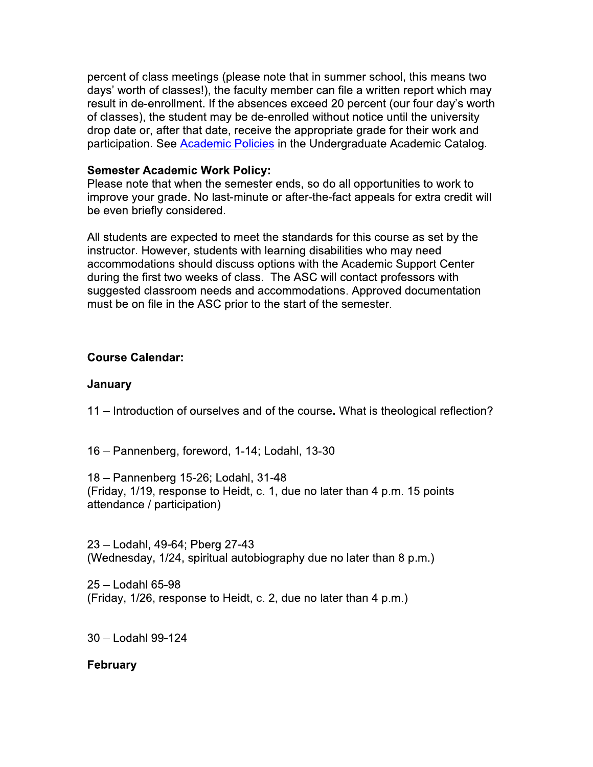percent of class meetings (please note that in summer school, this means two days' worth of classes!), the faculty member can file a written report which may result in de-enrollment. If the absences exceed 20 percent (our four day's worth of classes), the student may be de-enrolled without notice until the university drop date or, after that date, receive the appropriate grade for their work and participation. See Academic Policies in the Undergraduate Academic Catalog.

#### **Semester Academic Work Policy:**

Please note that when the semester ends, so do all opportunities to work to improve your grade. No last-minute or after-the-fact appeals for extra credit will be even briefly considered.

All students are expected to meet the standards for this course as set by the instructor. However, students with learning disabilities who may need accommodations should discuss options with the Academic Support Center during the first two weeks of class. The ASC will contact professors with suggested classroom needs and accommodations. Approved documentation must be on file in the ASC prior to the start of the semester.

### **Course Calendar:**

#### January

11 – Introduction of ourselves and of the course. What is theological reflection?

16 - Pannenberg, foreword, 1-14; Lodahl, 13-30

18 - Pannenberg 15-26; Lodahl, 31-48 (Friday, 1/19, response to Heidt, c. 1, due no later than 4 p.m. 15 points attendance / participation)

23 - Lodahl, 49-64; Pberg 27-43 (Wednesday, 1/24, spiritual autobiography due no later than 8 p.m.)

25 - Lodahl 65-98 (Friday, 1/26, response to Heidt, c. 2, due no later than 4 p.m.)

30 - Lodahl 99-124

### **February**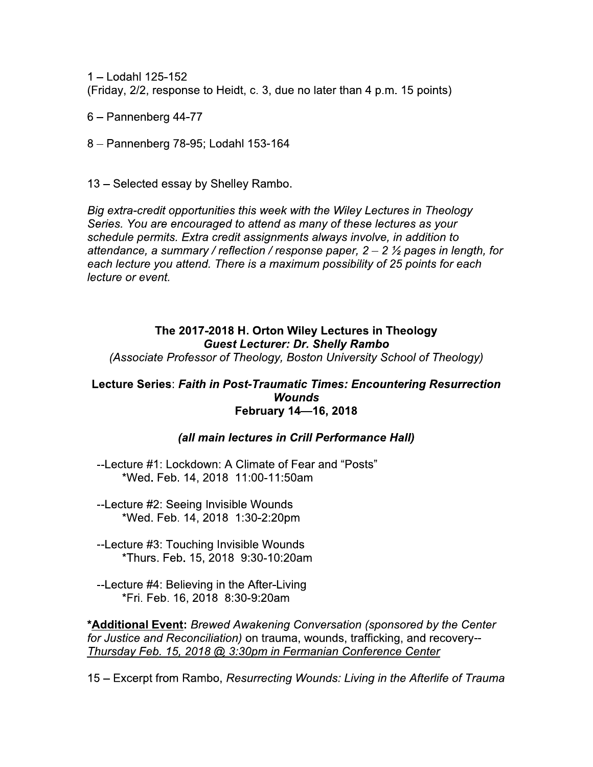1 - Lodahl 125-152 (Friday, 2/2, response to Heidt, c. 3, due no later than 4 p.m. 15 points)

6 - Pannenberg 44-77

8 - Pannenberg 78-95; Lodahl 153-164

13 - Selected essay by Shelley Rambo.

Big extra-credit opportunities this week with the Wiley Lectures in Theology Series. You are encouraged to attend as many of these lectures as your schedule permits. Extra credit assignments always involve, in addition to attendance, a summary / reflection / response paper,  $2 - 2$   $\frac{1}{2}$  pages in length, for each lecture you attend. There is a maximum possibility of 25 points for each lecture or event.

# The 2017-2018 H. Orton Wiley Lectures in Theology **Guest Lecturer: Dr. Shelly Rambo**

(Associate Professor of Theology, Boston University School of Theology)

#### Lecture Series: Faith in Post-Traumatic Times: Encountering Resurrection **Wounds** February 14-16, 2018

### (all main lectures in Crill Performance Hall)

--Lecture #1: Lockdown: A Climate of Fear and "Posts" \*Wed. Feb. 14, 2018 11:00-11:50am

--Lecture #2: Seeing Invisible Wounds \*Wed. Feb. 14, 2018 1:30-2:20pm

--Lecture #3: Touching Invisible Wounds \*Thurs. Feb. 15, 2018 9:30-10:20am

--Lecture #4: Believing in the After-Living \*Fri. Feb. 16, 2018 8:30-9:20am

\*Additional Event: Brewed Awakening Conversation (sponsored by the Center for Justice and Reconciliation) on trauma, wounds, trafficking, and recovery--Thursday Feb. 15, 2018 @ 3:30pm in Fermanian Conference Center

15 – Excerpt from Rambo, Resurrecting Wounds: Living in the Afterlife of Trauma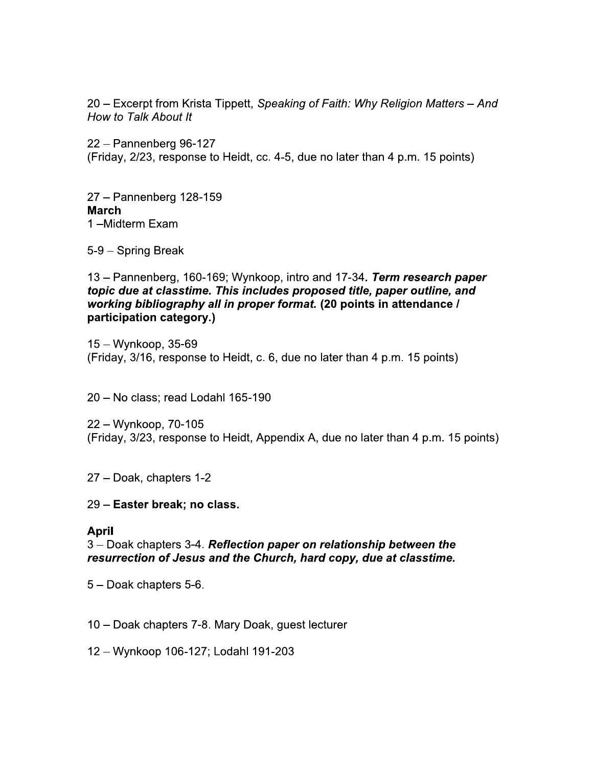20 – Excerpt from Krista Tippett, Speaking of Faith: Why Religion Matters – And How to Talk About It

22 - Pannenberg 96-127 (Friday, 2/23, response to Heidt, cc. 4-5, due no later than 4 p.m. 15 points)

27 - Pannenberg 128-159 **March** 1-Midterm Exam

5-9 - Spring Break

13 – Pannenberg, 160-169; Wynkoop, intro and 17-34. Term research paper topic due at classtime. This includes proposed title, paper outline, and working bibliography all in proper format. (20 points in attendance / participation category.)

 $15 - Wynkoop, 35-69$ (Friday, 3/16, response to Heidt, c. 6, due no later than 4 p.m. 15 points)

20 - No class; read Lodahl 165-190

22 – Wynkoop, 70-105 (Friday, 3/23, response to Heidt, Appendix A, due no later than 4 p.m. 15 points)

27 - Doak, chapters 1-2

29 – Easter break; no class.

#### **April**

3 – Doak chapters 3-4. Reflection paper on relationship between the resurrection of Jesus and the Church, hard copy, due at classtime.

5 - Doak chapters 5-6.

10 - Doak chapters 7-8. Mary Doak, guest lecturer

12 - Wynkoop 106-127; Lodahl 191-203